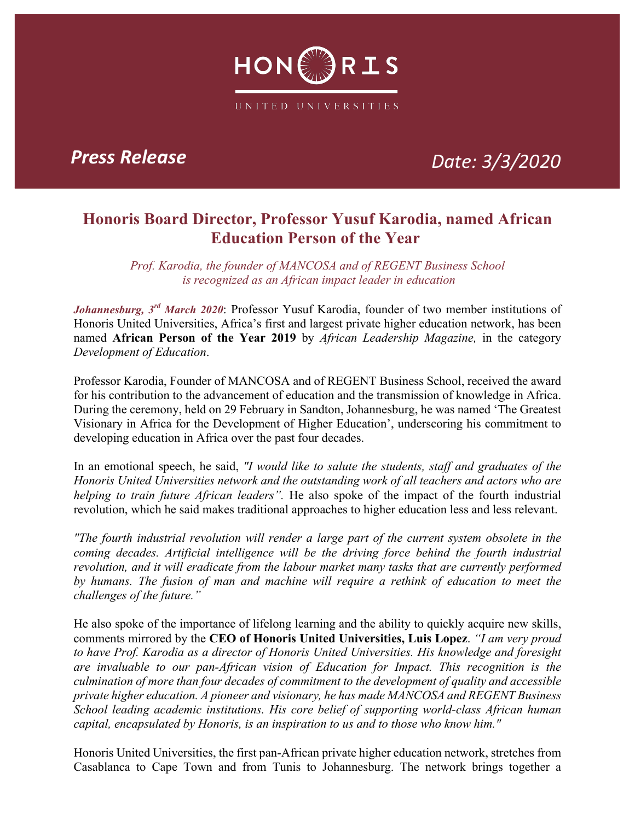

*Press Release Date: 3/3/2020*

## **Honoris Board Director, Professor Yusuf Karodia, named African Education Person of the Year**

*Prof. Karodia, the founder of MANCOSA and of REGENT Business School is recognized as an African impact leader in education*

*Johannesburg, 3rd March 2020*: Professor Yusuf Karodia, founder of two member institutions of Honoris United Universities, Africa's first and largest private higher education network, has been named **African Person of the Year 2019** by *African Leadership Magazine,* in the category *Development of Education*.

Professor Karodia, Founder of MANCOSA and of REGENT Business School, received the award for his contribution to the advancement of education and the transmission of knowledge in Africa. During the ceremony, held on 29 February in Sandton, Johannesburg, he was named 'The Greatest Visionary in Africa for the Development of Higher Education', underscoring his commitment to developing education in Africa over the past four decades.

In an emotional speech, he said, *"I would like to salute the students, staff and graduates of the Honoris United Universities network and the outstanding work of all teachers and actors who are helping to train future African leaders".* He also spoke of the impact of the fourth industrial revolution, which he said makes traditional approaches to higher education less and less relevant.

*"The fourth industrial revolution will render a large part of the current system obsolete in the coming decades. Artificial intelligence will be the driving force behind the fourth industrial revolution, and it will eradicate from the labour market many tasks that are currently performed by humans. The fusion of man and machine will require a rethink of education to meet the challenges of the future."*

He also spoke of the importance of lifelong learning and the ability to quickly acquire new skills, comments mirrored by the **CEO of Honoris United Universities, Luis Lopez**. *"I am very proud to have Prof. Karodia as a director of Honoris United Universities. His knowledge and foresight are invaluable to our pan-African vision of Education for Impact. This recognition is the culmination of more than four decades of commitment to the development of quality and accessible private higher education. A pioneer and visionary, he has made MANCOSA and REGENT Business School leading academic institutions. His core belief of supporting world-class African human capital, encapsulated by Honoris, is an inspiration to us and to those who know him."*

Honoris United Universities, the first pan-African private higher education network, stretches from Casablanca to Cape Town and from Tunis to Johannesburg. The network brings together a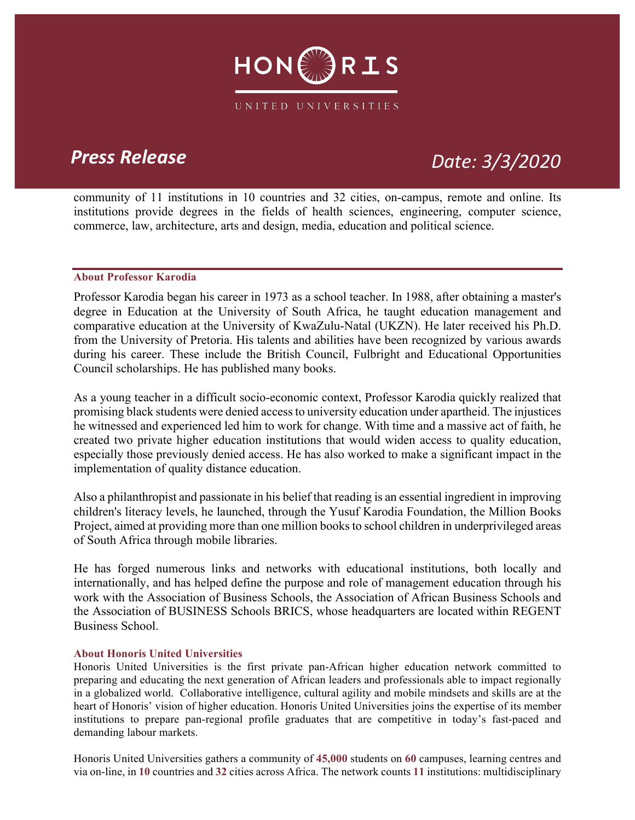

## *Press Release Date: 3/3/2020*

community of 11 institutions in 10 countries and 32 cities, on-campus, remote and online. Its institutions provide degrees in the fields of health sciences, engineering, computer science, commerce, law, architecture, arts and design, media, education and political science.

### **About Professor Karodia**

Professor Karodia began his career in 1973 as a school teacher. In 1988, after obtaining a master's degree in Education at the University of South Africa, he taught education management and comparative education at the University of KwaZulu-Natal (UKZN). He later received his Ph.D. from the University of Pretoria. His talents and abilities have been recognized by various awards during his career. These include the British Council, Fulbright and Educational Opportunities Council scholarships. He has published many books.

As a young teacher in a difficult socio-economic context, Professor Karodia quickly realized that promising black students were denied access to university education under apartheid. The injustices he witnessed and experienced led him to work for change. With time and a massive act of faith, he created two private higher education institutions that would widen access to quality education, especially those previously denied access. He has also worked to make a significant impact in the implementation of quality distance education.

Also a philanthropist and passionate in his belief that reading is an essential ingredient in improving children's literacy levels, he launched, through the Yusuf Karodia Foundation, the Million Books Project, aimed at providing more than one million books to school children in underprivileged areas of South Africa through mobile libraries.

He has forged numerous links and networks with educational institutions, both locally and internationally, and has helped define the purpose and role of management education through his work with the Association of Business Schools, the Association of African Business Schools and the Association of BUSINESS Schools BRICS, whose headquarters are located within REGENT Business School.

### **About Honoris United Universities**

Honoris United Universities is the first private pan-African higher education network committed to preparing and educating the next generation of African leaders and professionals able to impact regionally in a globalized world. Collaborative intelligence, cultural agility and mobile mindsets and skills are at the heart of Honoris' vision of higher education. Honoris United Universities joins the expertise of its member institutions to prepare pan-regional profile graduates that are competitive in today's fast-paced and demanding labour markets.

Honoris United Universities gathers a community of **45,000** students on **60** campuses, learning centres and via on-line, in **10** countries and **32** cities across Africa. The network counts **11** institutions: multidisciplinary